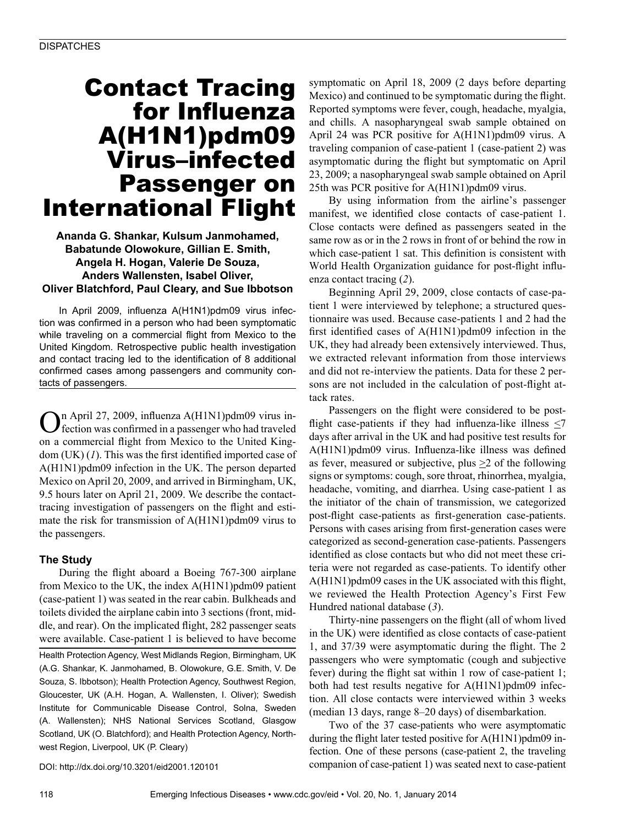# Contact Tracing for Influenza A(H1N1)pdm09 Virus–infected Passenger on International Flight

### **Ananda G. Shankar, Kulsum Janmohamed, Babatunde Olowokure, Gillian E. Smith, Angela H. Hogan, Valerie De Souza, Anders Wallensten, Isabel Oliver, Oliver Blatchford, Paul Cleary, and Sue Ibbotson**

In April 2009, influenza A(H1N1)pdm09 virus infection was confirmed in a person who had been symptomatic while traveling on a commercial flight from Mexico to the United Kingdom. Retrospective public health investigation and contact tracing led to the identification of 8 additional confirmed cases among passengers and community contacts of passengers.

On April 27, 2009, influenza A(H1N1)pdm09 virus in-fection was confirmed in a passenger who had traveled on a commercial flight from Mexico to the United Kingdom (UK) (*1*). This was the first identified imported case of A(H1N1)pdm09 infection in the UK. The person departed Mexico on April 20, 2009, and arrived in Birmingham, UK, 9.5 hours later on April 21, 2009. We describe the contacttracing investigation of passengers on the flight and estimate the risk for transmission of A(H1N1)pdm09 virus to the passengers.

## **The Study**

During the flight aboard a Boeing 767-300 airplane from Mexico to the UK, the index A(H1N1)pdm09 patient (case-patient 1) was seated in the rear cabin. Bulkheads and toilets divided the airplane cabin into 3 sections (front, middle, and rear). On the implicated flight, 282 passenger seats were available. Case-patient 1 is believed to have become

Health Protection Agency, West Midlands Region, Birmingham, UK (A.G. Shankar, K. Janmohamed, B. Olowokure, G.E. Smith, V. De Souza, S. Ibbotson); Health Protection Agency, Southwest Region, Gloucester, UK (A.H. Hogan, A. Wallensten, I. Oliver); Swedish Institute for Communicable Disease Control, Solna, Sweden (A. Wallensten); NHS National Services Scotland, Glasgow Scotland, UK (O. Blatchford); and Health Protection Agency, Northwest Region, Liverpool, UK (P. Cleary)

symptomatic on April 18, 2009 (2 days before departing Mexico) and continued to be symptomatic during the flight. Reported symptoms were fever, cough, headache, myalgia, and chills. A nasopharyngeal swab sample obtained on April 24 was PCR positive for A(H1N1)pdm09 virus. A traveling companion of case-patient 1 (case-patient 2) was asymptomatic during the flight but symptomatic on April 23, 2009; a nasopharyngeal swab sample obtained on April 25th was PCR positive for A(H1N1)pdm09 virus.

By using information from the airline's passenger manifest, we identified close contacts of case-patient 1. Close contacts were defined as passengers seated in the same row as or in the 2 rows in front of or behind the row in which case-patient 1 sat. This definition is consistent with World Health Organization guidance for post-flight influenza contact tracing (*2*).

Beginning April 29, 2009, close contacts of case-patient 1 were interviewed by telephone; a structured questionnaire was used. Because case-patients 1 and 2 had the first identified cases of A(H1N1)pdm09 infection in the UK, they had already been extensively interviewed. Thus, we extracted relevant information from those interviews and did not re-interview the patients. Data for these 2 persons are not included in the calculation of post-flight attack rates.

Passengers on the flight were considered to be postflight case-patients if they had influenza-like illness  $\leq 7$ days after arrival in the UK and had positive test results for A(H1N1)pdm09 virus. Influenza-like illness was defined as fever, measured or subjective, plus  $\geq 2$  of the following signs or symptoms: cough, sore throat, rhinorrhea, myalgia, headache, vomiting, and diarrhea. Using case-patient 1 as the initiator of the chain of transmission, we categorized post-flight case-patients as first-generation case-patients. Persons with cases arising from first-generation cases were categorized as second-generation case-patients. Passengers identified as close contacts but who did not meet these criteria were not regarded as case-patients. To identify other A(H1N1)pdm09 cases in the UK associated with this flight, we reviewed the Health Protection Agency's First Few Hundred national database (*3*).

Thirty-nine passengers on the flight (all of whom lived in the UK) were identified as close contacts of case-patient 1, and 37/39 were asymptomatic during the flight. The 2 passengers who were symptomatic (cough and subjective fever) during the flight sat within 1 row of case-patient 1; both had test results negative for A(H1N1)pdm09 infection. All close contacts were interviewed within 3 weeks (median 13 days, range 8–20 days) of disembarkation.

Two of the 37 case-patients who were asymptomatic during the flight later tested positive for A(H1N1)pdm09 infection. One of these persons (case-patient 2, the traveling companion of case-patient 1) was seated next to case-patient

DOI: http://dx.doi.org/10.3201/eid2001.120101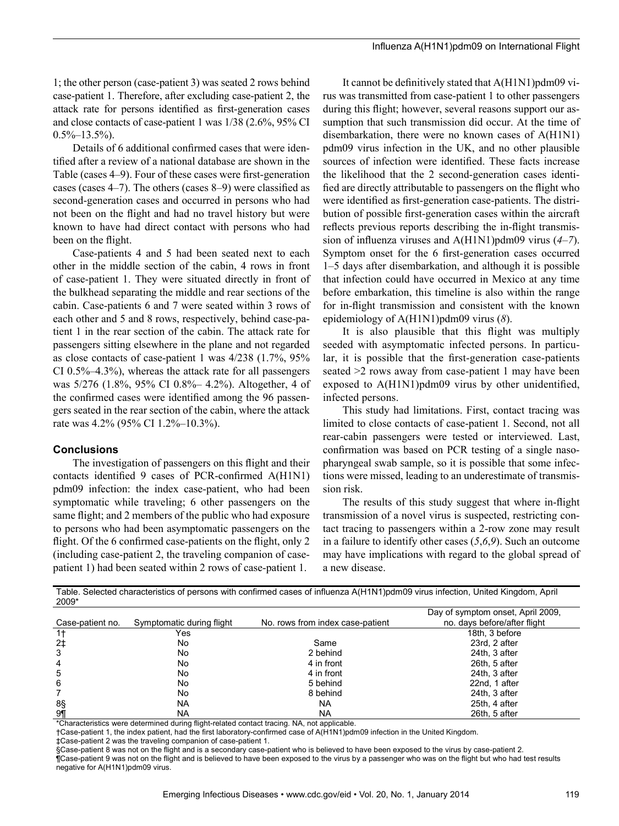1; the other person (case-patient 3) was seated 2 rows behind case-patient 1. Therefore, after excluding case-patient 2, the attack rate for persons identified as first-generation cases and close contacts of case-patient 1 was 1/38 (2.6%, 95% CI  $0.5\% - 13.5\%$ ).

Details of 6 additional confirmed cases that were identified after a review of a national database are shown in the Table (cases 4–9). Four of these cases were first-generation cases (cases 4–7). The others (cases 8–9) were classified as second-generation cases and occurred in persons who had not been on the flight and had no travel history but were known to have had direct contact with persons who had been on the flight.

Case-patients 4 and 5 had been seated next to each other in the middle section of the cabin, 4 rows in front of case-patient 1. They were situated directly in front of the bulkhead separating the middle and rear sections of the cabin. Case-patients 6 and 7 were seated within 3 rows of each other and 5 and 8 rows, respectively, behind case-patient 1 in the rear section of the cabin. The attack rate for passengers sitting elsewhere in the plane and not regarded as close contacts of case-patient 1 was 4/238 (1.7%, 95% CI 0.5%–4.3%), whereas the attack rate for all passengers was 5/276 (1.8%, 95% CI 0.8%– 4.2%). Altogether, 4 of the confirmed cases were identified among the 96 passengers seated in the rear section of the cabin, where the attack rate was 4.2% (95% CI 1.2%–10.3%).

#### **Conclusions**

The investigation of passengers on this flight and their contacts identified 9 cases of PCR-confirmed A(H1N1) pdm09 infection: the index case-patient, who had been symptomatic while traveling; 6 other passengers on the same flight; and 2 members of the public who had exposure to persons who had been asymptomatic passengers on the flight. Of the 6 confirmed case-patients on the flight, only 2 (including case-patient 2, the traveling companion of casepatient 1) had been seated within 2 rows of case-patient 1.

It cannot be definitively stated that A(H1N1)pdm09 virus was transmitted from case-patient 1 to other passengers during this flight; however, several reasons support our assumption that such transmission did occur. At the time of disembarkation, there were no known cases of A(H1N1) pdm09 virus infection in the UK, and no other plausible sources of infection were identified. These facts increase the likelihood that the 2 second-generation cases identified are directly attributable to passengers on the flight who were identified as first-generation case-patients. The distribution of possible first-generation cases within the aircraft reflects previous reports describing the in-flight transmission of influenza viruses and A(H1N1)pdm09 virus (*4*–*7*). Symptom onset for the 6 first-generation cases occurred 1–5 days after disembarkation, and although it is possible that infection could have occurred in Mexico at any time before embarkation, this timeline is also within the range for in-flight transmission and consistent with the known epidemiology of A(H1N1)pdm09 virus (*8*).

It is also plausible that this flight was multiply seeded with asymptomatic infected persons. In particular, it is possible that the first-generation case-patients seated >2 rows away from case-patient 1 may have been exposed to A(H1N1)pdm09 virus by other unidentified, infected persons.

This study had limitations. First, contact tracing was limited to close contacts of case-patient 1. Second, not all rear-cabin passengers were tested or interviewed. Last, confirmation was based on PCR testing of a single nasopharyngeal swab sample, so it is possible that some infections were missed, leading to an underestimate of transmission risk.

The results of this study suggest that where in-flight transmission of a novel virus is suspected, restricting contact tracing to passengers within a 2-row zone may result in a failure to identify other cases (*5*,*6*,*9*). Such an outcome may have implications with regard to the global spread of a new disease.

Table. Selected characteristics of persons with confirmed cases of influenza A(H1N1)pdm09 virus infection, United Kingdom, April 2009\*

|                  |                           |                                  | Day of symptom onset, April 2009, |
|------------------|---------------------------|----------------------------------|-----------------------------------|
| Case-patient no. | Symptomatic during flight | No. rows from index case-patient | no. days before/after flight      |
| 1†               | Yes                       |                                  | 18th. 3 before                    |
| $2+$             | No                        | Same                             | 23rd. 2 after                     |
| 3                | No                        | 2 behind                         | 24th, 3 after                     |
| 4                | No                        | 4 in front                       | 26th, 5 after                     |
| 5                | No                        | 4 in front                       | 24th, 3 after                     |
| 6                | No                        | 5 behind                         | 22nd, 1 after                     |
|                  | No                        | 8 behind                         | 24th. 3 after                     |
| 8§               | <b>NA</b>                 | <b>NA</b>                        | 25th, 4 after                     |
| 9¶               | NA                        | <b>NA</b>                        | 26th, 5 after                     |

\*Characteristics were determined during flight-related contact tracing. NA, not applicable.

†Case-patient 1, the index patient, had the first laboratory-confirmed case of A(H1N1)pdm09 infection in the United Kingdom.

‡Case-patient 2 was the traveling companion of case-patient 1.

§Case-patient 8 was not on the flight and is a secondary case-patient who is believed to have been exposed to the virus by case-patient 2. TCase-patient 9 was not on the flight and is believed to have been exposed to the virus by a passenger who was on the flight but who had test results

negative for A(H1N1)pdm09 virus.